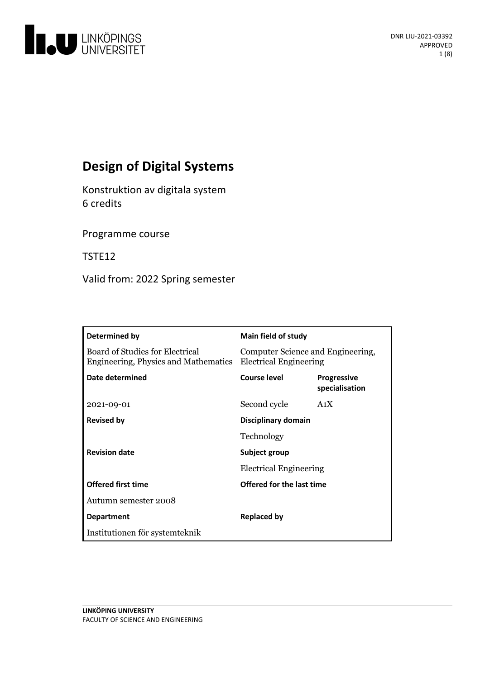

# **Design of Digital Systems**

Konstruktion av digitala system 6 credits

Programme course

TSTE12

Valid from: 2022 Spring semester

| Determined by                                                           | Main field of study                                                |                                      |
|-------------------------------------------------------------------------|--------------------------------------------------------------------|--------------------------------------|
| Board of Studies for Electrical<br>Engineering, Physics and Mathematics | Computer Science and Engineering,<br><b>Electrical Engineering</b> |                                      |
| Date determined                                                         | Course level                                                       | <b>Progressive</b><br>specialisation |
| 2021-09-01                                                              | Second cycle                                                       | A <sub>1</sub> X                     |
| <b>Revised by</b>                                                       | Disciplinary domain                                                |                                      |
|                                                                         | Technology                                                         |                                      |
| <b>Revision date</b>                                                    | Subject group                                                      |                                      |
|                                                                         | <b>Electrical Engineering</b>                                      |                                      |
| <b>Offered first time</b>                                               | Offered for the last time                                          |                                      |
| Autumn semester 2008                                                    |                                                                    |                                      |
| <b>Department</b>                                                       | Replaced by                                                        |                                      |
| Institutionen för systemteknik                                          |                                                                    |                                      |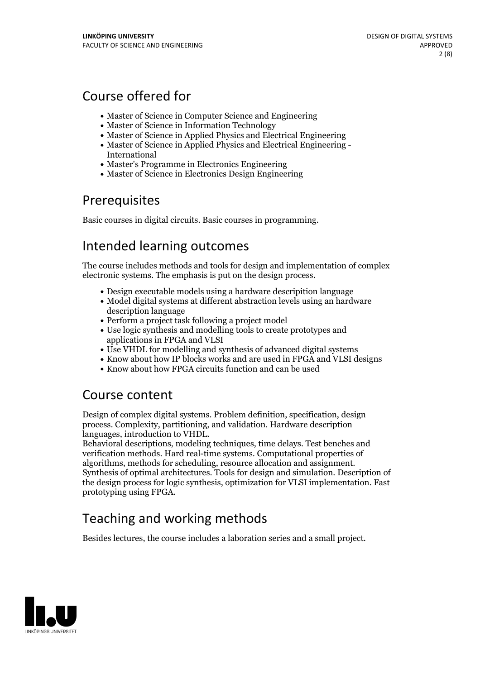# Course offered for

- Master of Science in Computer Science and Engineering
- Master of Science in Information Technology
- Master of Science in Applied Physics and Electrical Engineering
- Master of Science in Applied Physics and Electrical Engineering International
- Master's Programme in Electronics Engineering
- Master of Science in Electronics Design Engineering

## Prerequisites

Basic courses in digital circuits. Basic courses in programming.

## Intended learning outcomes

The course includes methods and tools for design and implementation of complex electronic systems. The emphasis is put on the design process.

- Design executable models using a hardware descripition language
- Model digital systems at different abstraction levels using an hardware description language
- Perform a project task following a project model
- Use logic synthesis and modelling tools to create prototypes and applications in FPGA and VLSI
- Use VHDL for modelling and synthesis of advanced digital systems
- Know about how IP blocks works and are used in FPGA and VLSI designs
- Know about how FPGA circuits function and can be used

## Course content

Design of complex digital systems. Problem definition, specification, design process. Complexity, partitioning, and validation. Hardware description languages, introduction to VHDL.<br>Behavioral descriptions, modeling techniques, time delays. Test benches and

verification methods. Hard real-time systems. Computational properties of algorithms, methods for scheduling, resource allocation and assignment. Synthesis of optimal architectures. Tools for design and simulation. Description of the design process for logic synthesis, optimization for VLSI implementation. Fast prototyping using FPGA.

# Teaching and working methods

Besides lectures, the course includes a laboration series and a small project.

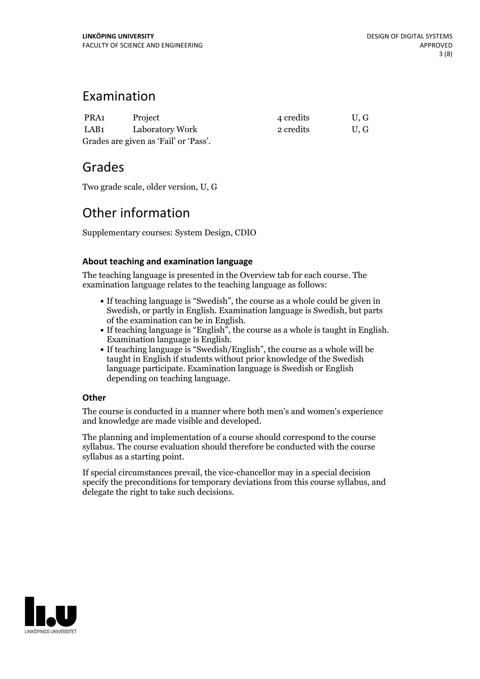## Examination

| PRA1                                  | Project         | 4 credits | U.G |  |
|---------------------------------------|-----------------|-----------|-----|--|
| LAB1                                  | Laboratory Work | 2 credits | U.G |  |
| Grades are given as 'Fail' or 'Pass'. |                 |           |     |  |

## Grades

Two grade scale, older version, U, G

## Other information

Supplementary courses: System Design, CDIO

## **About teaching and examination language**

The teaching language is presented in the Overview tab for each course. The examination language relates to the teaching language as follows:

- If teaching language is "Swedish", the course as a whole could be given in Swedish, or partly in English. Examination language is Swedish, but parts
- of the examination can be in English.<br>
If teaching language is "English", the course as a whole is taught in English.<br>
Examination language is "Swedish/English", the course as a whole will be<br>
If teaching language is "Swed
- taught in English if students without prior knowledge of the Swedish language participate. Examination language is Swedish or English depending on teaching language.

### **Other**

The course is conducted in a manner where both men's and women's experience and knowledge are made visible and developed.

The planning and implementation of a course should correspond to the course syllabus. The course evaluation should therefore be conducted with the course syllabus as a starting point.

If special circumstances prevail, the vice-chancellor may in a special decision specify the preconditions for temporary deviations from this course syllabus, and delegate the right to take such decisions.

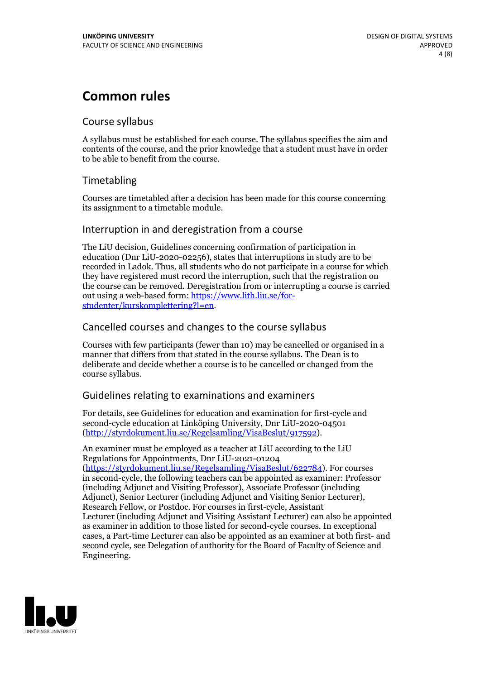## **Common rules**

### Course syllabus

A syllabus must be established for each course. The syllabus specifies the aim and contents of the course, and the prior knowledge that a student must have in order to be able to benefit from the course.

## Timetabling

Courses are timetabled after a decision has been made for this course concerning its assignment to a timetable module.

### Interruption in and deregistration from a course

The LiU decision, Guidelines concerning confirmation of participation in education (Dnr LiU-2020-02256), states that interruptions in study are to be recorded in Ladok. Thus, all students who do not participate in a course for which they have registered must record the interruption, such that the registration on the course can be removed. Deregistration from or interrupting a course is carried out using <sup>a</sup> web-based form: https://www.lith.liu.se/for- [studenter/kurskomplettering?l=en.](https://www.lith.liu.se/for-studenter/kurskomplettering?l=en)

## Cancelled courses and changes to the course syllabus

Courses with few participants (fewer than 10) may be cancelled or organised in a manner that differs from that stated in the course syllabus. The Dean is to deliberate and decide whether a course is to be cancelled or changed from the course syllabus.

## Guidelines relating to examinations and examiners

For details, see Guidelines for education and examination for first-cycle and second-cycle education at Linköping University, Dnr LiU-2020-04501 [\(http://styrdokument.liu.se/Regelsamling/VisaBeslut/917592\)](http://styrdokument.liu.se/Regelsamling/VisaBeslut/917592).

An examiner must be employed as a teacher at LiU according to the LiU Regulations for Appointments, Dnr LiU-2021-01204 [\(https://styrdokument.liu.se/Regelsamling/VisaBeslut/622784](https://styrdokument.liu.se/Regelsamling/VisaBeslut/622784)). For courses in second-cycle, the following teachers can be appointed as examiner: Professor (including Adjunct and Visiting Professor), Associate Professor (including Adjunct), Senior Lecturer (including Adjunct and Visiting Senior Lecturer), Research Fellow, or Postdoc. For courses in first-cycle, Assistant Lecturer (including Adjunct and Visiting Assistant Lecturer) can also be appointed as examiner in addition to those listed for second-cycle courses. In exceptional cases, a Part-time Lecturer can also be appointed as an examiner at both first- and second cycle, see Delegation of authority for the Board of Faculty of Science and Engineering.

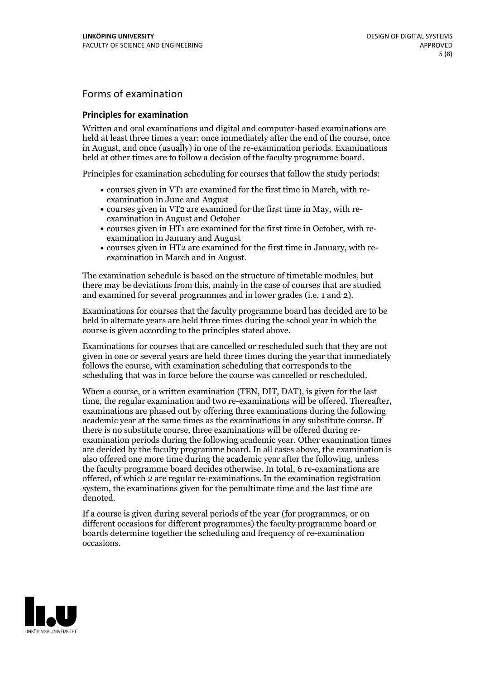## Forms of examination

#### **Principles for examination**

Written and oral examinations and digital and computer-based examinations are held at least three times a year: once immediately after the end of the course, once in August, and once (usually) in one of the re-examination periods. Examinations held at other times are to follow a decision of the faculty programme board.

Principles for examination scheduling for courses that follow the study periods:

- courses given in VT1 are examined for the first time in March, with re-examination in June and August
- courses given in VT2 are examined for the first time in May, with re-examination in August and October
- courses given in HT1 are examined for the first time in October, with re-examination in January and August
- courses given in HT2 are examined for the first time in January, with re-examination in March and in August.

The examination schedule is based on the structure of timetable modules, but there may be deviations from this, mainly in the case of courses that are studied and examined for several programmes and in lower grades (i.e. 1 and 2).

Examinations for courses that the faculty programme board has decided are to be held in alternate years are held three times during the school year in which the course is given according to the principles stated above.

Examinations for courses that are cancelled orrescheduled such that they are not given in one or several years are held three times during the year that immediately follows the course, with examination scheduling that corresponds to the scheduling that was in force before the course was cancelled or rescheduled.

When a course, or a written examination (TEN, DIT, DAT), is given for the last time, the regular examination and two re-examinations will be offered. Thereafter, examinations are phased out by offering three examinations during the following academic year at the same times as the examinations in any substitute course. If there is no substitute course, three examinations will be offered during re- examination periods during the following academic year. Other examination times are decided by the faculty programme board. In all cases above, the examination is also offered one more time during the academic year after the following, unless the faculty programme board decides otherwise. In total, 6 re-examinations are offered, of which 2 are regular re-examinations. In the examination registration system, the examinations given for the penultimate time and the last time are denoted.

If a course is given during several periods of the year (for programmes, or on different occasions for different programmes) the faculty programme board or boards determine together the scheduling and frequency of re-examination occasions.

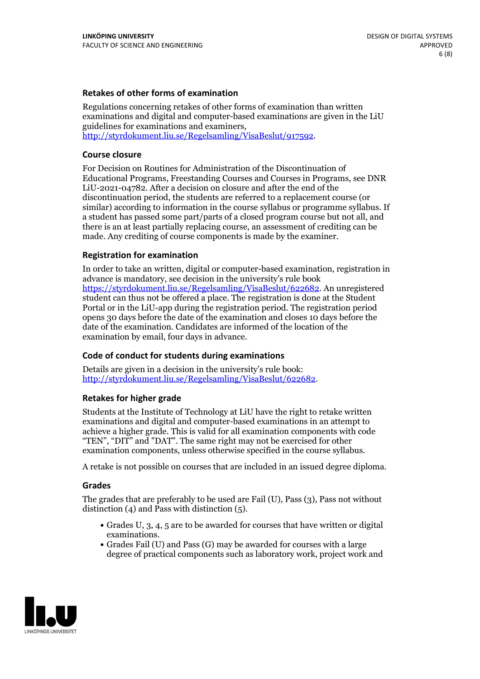#### **Retakes of other forms of examination**

Regulations concerning retakes of other forms of examination than written examinations and digital and computer-based examinations are given in the LiU guidelines for examinations and examiners, [http://styrdokument.liu.se/Regelsamling/VisaBeslut/917592.](http://styrdokument.liu.se/Regelsamling/VisaBeslut/917592)

#### **Course closure**

For Decision on Routines for Administration of the Discontinuation of Educational Programs, Freestanding Courses and Courses in Programs, see DNR LiU-2021-04782. After a decision on closure and after the end of the discontinuation period, the students are referred to a replacement course (or similar) according to information in the course syllabus or programme syllabus. If a student has passed some part/parts of a closed program course but not all, and there is an at least partially replacing course, an assessment of crediting can be made. Any crediting of course components is made by the examiner.

#### **Registration for examination**

In order to take an written, digital or computer-based examination, registration in advance is mandatory, see decision in the university's rule book [https://styrdokument.liu.se/Regelsamling/VisaBeslut/622682.](https://styrdokument.liu.se/Regelsamling/VisaBeslut/622682) An unregistered student can thus not be offered a place. The registration is done at the Student Portal or in the LiU-app during the registration period. The registration period opens 30 days before the date of the examination and closes 10 days before the date of the examination. Candidates are informed of the location of the examination by email, four days in advance.

#### **Code of conduct for students during examinations**

Details are given in a decision in the university's rule book: <http://styrdokument.liu.se/Regelsamling/VisaBeslut/622682>.

#### **Retakes for higher grade**

Students at the Institute of Technology at LiU have the right to retake written examinations and digital and computer-based examinations in an attempt to achieve a higher grade. This is valid for all examination components with code "TEN", "DIT" and "DAT". The same right may not be exercised for other examination components, unless otherwise specified in the course syllabus.

A retake is not possible on courses that are included in an issued degree diploma.

#### **Grades**

The grades that are preferably to be used are Fail (U), Pass (3), Pass not without distinction  $(4)$  and Pass with distinction  $(5)$ .

- Grades U, 3, 4, 5 are to be awarded for courses that have written or digital examinations.<br>• Grades Fail (U) and Pass (G) may be awarded for courses with a large
- degree of practical components such as laboratory work, project work and

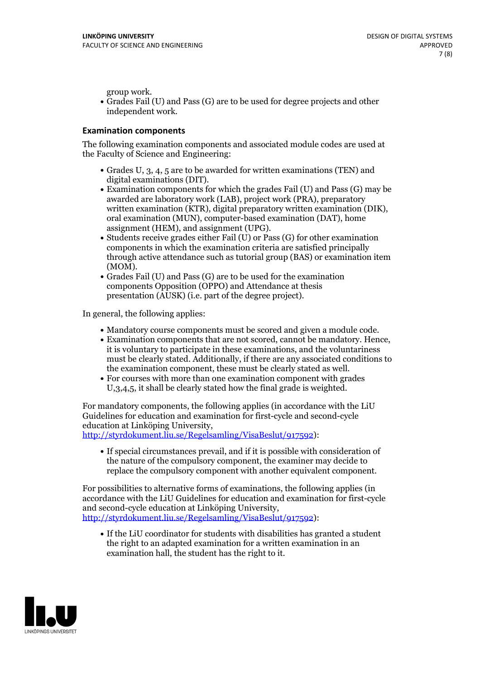group work.<br>• Grades Fail (U) and Pass (G) are to be used for degree projects and other independent work.

#### **Examination components**

The following examination components and associated module codes are used at the Faculty of Science and Engineering:

- Grades U, 3, 4, 5 are to be awarded for written examinations (TEN) and
- digital examinations (DIT).<br>• Examination components for which the grades Fail (U) and Pass (G) may be awarded are laboratory work (LAB), project work (PRA), preparatory written examination (KTR), digital preparatory written examination (DIK), oral examination (MUN), computer-based examination (DAT), home
- assignment (HEM), and assignment (UPG).<br>• Students receive grades either Fail (U) or Pass (G) for other examination components in which the examination criteria are satisfied principally through active attendance such as tutorial group (BAS) or examination item
- (MOM).<br>• Grades Fail (U) and Pass (G) are to be used for the examination components Opposition (OPPO) and Attendance at thesis presentation (AUSK) (i.e. part of the degree project).

In general, the following applies:

- 
- Mandatory course components must be scored and given <sup>a</sup> module code. Examination components that are not scored, cannot be mandatory. Hence, it is voluntary to participate in these examinations, and the voluntariness must be clearly stated. Additionally, if there are any associated conditions to
- the examination component, these must be clearly stated as well.<br>• For courses with more than one examination component with grades U,3,4,5, it shall be clearly stated how the final grade is weighted.

For mandatory components, the following applies (in accordance with the LiU Guidelines for education and examination for first-cycle and second-cycle education at Linköping University,<br>[http://styrdokument.liu.se/Regelsamling/VisaBeslut/917592\)](http://styrdokument.liu.se/Regelsamling/VisaBeslut/917592):

If special circumstances prevail, and if it is possible with consideration of the nature of the compulsory component, the examiner may decide to replace the compulsory component with another equivalent component.

For possibilities to alternative forms of examinations, the following applies (in accordance with the LiU Guidelines for education and examination for first-cycle [http://styrdokument.liu.se/Regelsamling/VisaBeslut/917592\)](http://styrdokument.liu.se/Regelsamling/VisaBeslut/917592):

If the LiU coordinator for students with disabilities has granted a student the right to an adapted examination for a written examination in an examination hall, the student has the right to it.